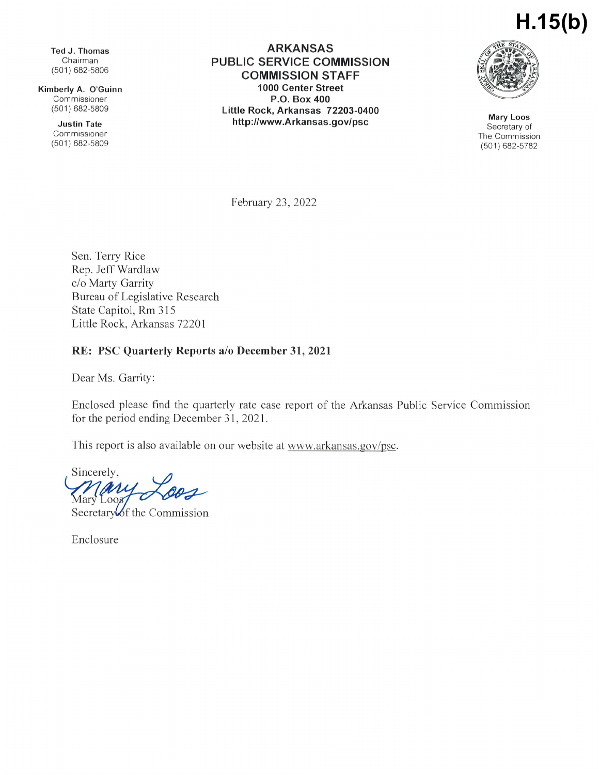# **H.15(b)**

Ted J.Thomas Chairman (501) 682-5806

Kimberly A. O'Guinn Commissioner (501)682-5809

> Justin Tate Commissioner (501)682-5809

ARKANSAS PUBLIC SERVICE COMMISSION COMMISSION STAFF 1000 Center Street P.0. Box 400 Little Rock, Arkansas 72203-0400 http://www.Arkansas.gov/psc Mary Loos



Secretary of The Commission (501)682-5782

February 23, 2022

Sen. Terry Rice Rep. Jeff Wardlaw c/o Marty Garrity Bureau of Legislative Research State Capitol, Rm 315 Little Rock, Arkansas 72201

#### RE: PSC Quarterly Reports a/o December 31, 2021

Dear Ms. Garrity:

Enclosed please find the quarterly rate case report of the Arkansas Public Service Commission for the period ending December 31, 2021.

This report is also available on our website at www.arkansas.gov/psc.

Sincerely, ari  $L$ 008

Secretary of the Commission

Enclosure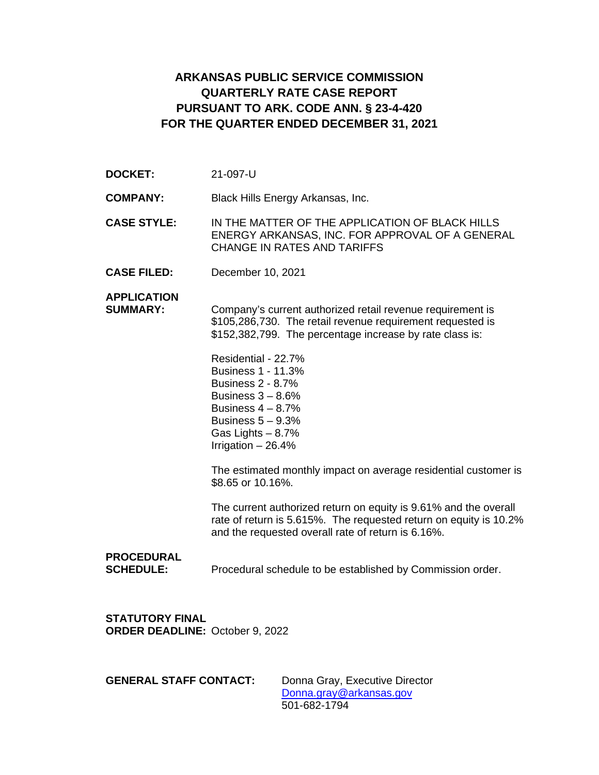### **ARKANSAS PUBLIC SERVICE COMMISSION QUARTERLY RATE CASE REPORT PURSUANT TO ARK. CODE ANN. § 23-4-420 FOR THE QUARTER ENDED DECEMBER 31, 2021**

**DOCKET:** 21-097-U

**COMPANY:** Black Hills Energy Arkansas, Inc.

**CASE STYLE:** IN THE MATTER OF THE APPLICATION OF BLACK HILLS ENERGY ARKANSAS, INC. FOR APPROVAL OF A GENERAL CHANGE IN RATES AND TARIFFS

**CASE FILED:** December 10, 2021

**APPLICATION**

**SUMMARY:** Company's current authorized retail revenue requirement is \$105,286,730. The retail revenue requirement requested is \$152,382,799. The percentage increase by rate class is:

> Residential - 22.7% Business 1 - 11.3% Business 2 - 8.7% Business  $3 - 8.6%$ Business  $4 - 8.7%$ Business  $5 - 9.3\%$ Gas Lights – 8.7% Irrigation – 26.4%

The estimated monthly impact on average residential customer is \$8.65 or 10.16%.

The current authorized return on equity is 9.61% and the overall rate of return is 5.615%. The requested return on equity is 10.2% and the requested overall rate of return is 6.16%.

#### **PROCEDURAL**

**SCHEDULE:** Procedural schedule to be established by Commission order.

**STATUTORY FINAL ORDER DEADLINE:** October 9, 2022

**GENERAL STAFF CONTACT:** Donna Gray, Executive Director [Donna.gray@arkansas.gov](mailto:Donna.gray@arkansas.gov) 501-682-1794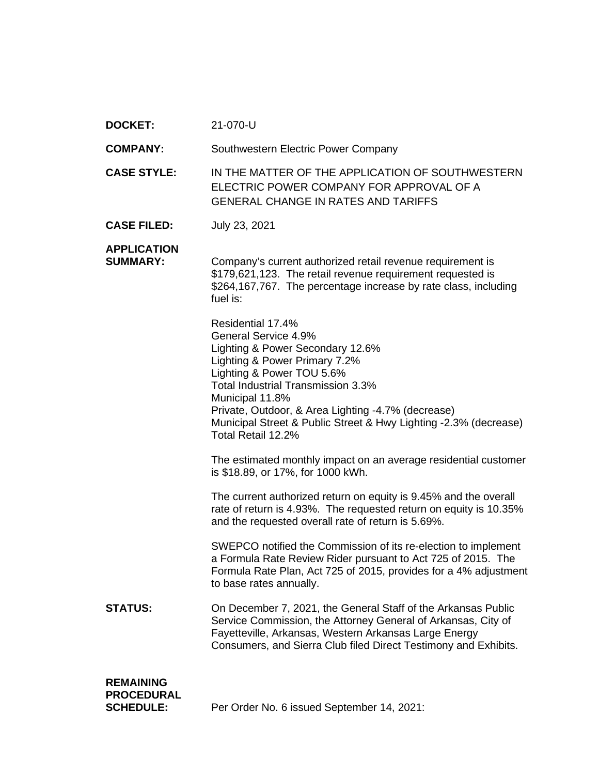| <b>DOCKET:</b> | 21-070-U |
|----------------|----------|
|----------------|----------|

**COMPANY:** Southwestern Electric Power Company

**CASE STYLE:** IN THE MATTER OF THE APPLICATION OF SOUTHWESTERN ELECTRIC POWER COMPANY FOR APPROVAL OF A GENERAL CHANGE IN RATES AND TARIFFS

**CASE FILED:** July 23, 2021

#### **APPLICATION**

**SUMMARY:** Company's current authorized retail revenue requirement is \$179,621,123. The retail revenue requirement requested is \$264,167,767. The percentage increase by rate class, including fuel is:

> Residential 17.4% General Service 4.9% Lighting & Power Secondary 12.6% Lighting & Power Primary 7.2% Lighting & Power TOU 5.6% Total Industrial Transmission 3.3% Municipal 11.8% Private, Outdoor, & Area Lighting -4.7% (decrease) Municipal Street & Public Street & Hwy Lighting -2.3% (decrease) Total Retail 12.2%

> The estimated monthly impact on an average residential customer is \$18.89, or 17%, for 1000 kWh.

> The current authorized return on equity is 9.45% and the overall rate of return is 4.93%. The requested return on equity is 10.35% and the requested overall rate of return is 5.69%.

SWEPCO notified the Commission of its re-election to implement a Formula Rate Review Rider pursuant to Act 725 of 2015. The Formula Rate Plan, Act 725 of 2015, provides for a 4% adjustment to base rates annually.

**STATUS:** On December 7, 2021, the General Staff of the Arkansas Public Service Commission, the Attorney General of Arkansas, City of Fayetteville, Arkansas, Western Arkansas Large Energy Consumers, and Sierra Club filed Direct Testimony and Exhibits.

## **REMAINING PROCEDURAL**

**SCHEDULE:** Per Order No. 6 issued September 14, 2021: